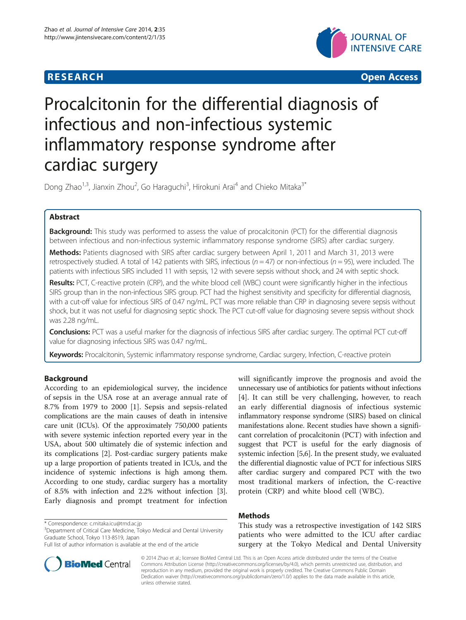## **RESEARCH CHINESE ARCH CHINESE ARCH CHINESE ARCH <b>CHINESE ARCH**



# Procalcitonin for the differential diagnosis of infectious and non-infectious systemic inflammatory response syndrome after cardiac surgery

Dong Zhao<sup>1,3</sup>, Jianxin Zhou<sup>2</sup>, Go Haraguchi<sup>3</sup>, Hirokuni Arai<sup>4</sup> and Chieko Mitaka<sup>3\*</sup>

## Abstract

**Background:** This study was performed to assess the value of procalcitonin (PCT) for the differential diagnosis between infectious and non-infectious systemic inflammatory response syndrome (SIRS) after cardiac surgery.

Methods: Patients diagnosed with SIRS after cardiac surgery between April 1, 2011 and March 31, 2013 were retrospectively studied. A total of 142 patients with SIRS, infectious ( $n = 47$ ) or non-infectious ( $n = 95$ ), were included. The patients with infectious SIRS included 11 with sepsis, 12 with severe sepsis without shock, and 24 with septic shock.

Results: PCT, C-reactive protein (CRP), and the white blood cell (WBC) count were significantly higher in the infectious SIRS group than in the non-infectious SIRS group. PCT had the highest sensitivity and specificity for differential diagnosis, with a cut-off value for infectious SIRS of 0.47 ng/mL. PCT was more reliable than CRP in diagnosing severe sepsis without shock, but it was not useful for diagnosing septic shock. The PCT cut-off value for diagnosing severe sepsis without shock was 2.28 ng/mL.

Conclusions: PCT was a useful marker for the diagnosis of infectious SIRS after cardiac surgery. The optimal PCT cut-off value for diagnosing infectious SIRS was 0.47 ng/mL.

Keywords: Procalcitonin, Systemic inflammatory response syndrome, Cardiac surgery, Infection, C-reactive protein

## Background

According to an epidemiological survey, the incidence of sepsis in the USA rose at an average annual rate of 8.7% from 1979 to 2000 [[1\]](#page-6-0). Sepsis and sepsis-related complications are the main causes of death in intensive care unit (ICUs). Of the approximately 750,000 patients with severe systemic infection reported every year in the USA, about 500 ultimately die of systemic infection and its complications [\[2\]](#page-6-0). Post-cardiac surgery patients make up a large proportion of patients treated in ICUs, and the incidence of systemic infections is high among them. According to one study, cardiac surgery has a mortality of 8.5% with infection and 2.2% without infection [[3](#page-6-0)]. Early diagnosis and prompt treatment for infection

\* Correspondence: [c.mitaka.icu@tmd.ac.jp](mailto:c.mitaka.icu@tmd.ac.jp) <sup>3</sup>



## Methods

This study was a retrospective investigation of 142 SIRS patients who were admitted to the ICU after cardiac surgery at the Tokyo Medical and Dental University



© 2014 Zhao et al.; licensee BioMed Central Ltd. This is an Open Access article distributed under the terms of the Creative Commons Attribution License [\(http://creativecommons.org/licenses/by/4.0\)](http://creativecommons.org/licenses/by/4.0), which permits unrestricted use, distribution, and reproduction in any medium, provided the original work is properly credited. The Creative Commons Public Domain Dedication waiver [\(http://creativecommons.org/publicdomain/zero/1.0/](http://creativecommons.org/publicdomain/zero/1.0/)) applies to the data made available in this article, unless otherwise stated.

<sup>&</sup>lt;sup>3</sup>Department of Critical Care Medicine, Tokyo Medical and Dental University Graduate School, Tokyo 113-8519, Japan

Full list of author information is available at the end of the article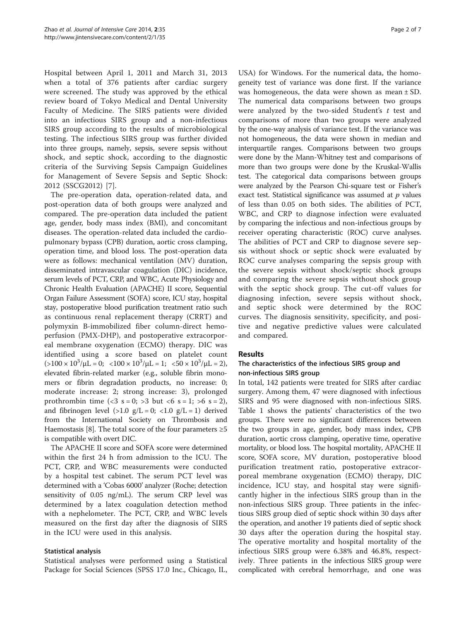Hospital between April 1, 2011 and March 31, 2013 when a total of 376 patients after cardiac surgery were screened. The study was approved by the ethical review board of Tokyo Medical and Dental University Faculty of Medicine. The SIRS patients were divided into an infectious SIRS group and a non-infectious SIRS group according to the results of microbiological testing. The infectious SIRS group was further divided into three groups, namely, sepsis, severe sepsis without shock, and septic shock, according to the diagnostic criteria of the Surviving Sepsis Campaign Guidelines for Management of Severe Sepsis and Septic Shock: 2012 (SSCG2012) [[7\]](#page-6-0).

The pre-operation data, operation-related data, and post-operation data of both groups were analyzed and compared. The pre-operation data included the patient age, gender, body mass index (BMI), and concomitant diseases. The operation-related data included the cardiopulmonary bypass (CPB) duration, aortic cross clamping, operation time, and blood loss. The post-operation data were as follows: mechanical ventilation (MV) duration, disseminated intravascular coagulation (DIC) incidence, serum levels of PCT, CRP, and WBC, Acute Physiology and Chronic Health Evaluation (APACHE) II score, Sequential Organ Failure Assessment (SOFA) score, ICU stay, hospital stay, postoperative blood purification treatment ratio such as continuous renal replacement therapy (CRRT) and polymyxin B-immobilized fiber column-direct hemoperfusion (PMX-DHP), and postoperative extracorporeal membrane oxygenation (ECMO) therapy. DIC was identified using a score based on platelet count  $(>100 \times 10^3/\mu L = 0; \ \ \langle 100 \times 10^3/\mu L = 1; \ \ \langle 50 \times 10^3/\mu L = 2)$ elevated fibrin-related marker (e.g., soluble fibrin monomers or fibrin degradation products, no increase: 0; moderate increase: 2; strong increase: 3), prolonged prothrombin time (<3 s = 0; > 3 but <6 s = 1; > 6 s = 2), and fibrinogen level  $(>1.0 \text{ g/L} = 0;$   $<1.0 \text{ g/L} = 1)$  derived from the International Society on Thrombosis and Haemostasis [[8\]](#page-6-0). The total score of the four parameters  $\geq 5$ is compatible with overt DIC.

The APACHE II score and SOFA score were determined within the first 24 h from admission to the ICU. The PCT, CRP, and WBC measurements were conducted by a hospital test cabinet. The serum PCT level was determined with a 'Cobas 6000' analyzer (Roche; detection sensitivity of 0.05 ng/mL). The serum CRP level was determined by a latex coagulation detection method with a nephelometer. The PCT, CRP, and WBC levels measured on the first day after the diagnosis of SIRS in the ICU were used in this analysis.

#### Statistical analysis

Statistical analyses were performed using a Statistical Package for Social Sciences (SPSS 17.0 Inc., Chicago, IL,

USA) for Windows. For the numerical data, the homogeneity test of variance was done first. If the variance was homogeneous, the data were shown as mean  $\pm$  SD. The numerical data comparisons between two groups were analyzed by the two-sided Student's  $t$  test and comparisons of more than two groups were analyzed by the one-way analysis of variance test. If the variance was not homogeneous, the data were shown in median and interquartile ranges. Comparisons between two groups were done by the Mann-Whitney test and comparisons of more than two groups were done by the Kruskal-Wallis test. The categorical data comparisons between groups were analyzed by the Pearson Chi-square test or Fisher's exact test. Statistical significance was assumed at  $p$  values of less than 0.05 on both sides. The abilities of PCT, WBC, and CRP to diagnose infection were evaluated by comparing the infectious and non-infectious groups by receiver operating characteristic (ROC) curve analyses. The abilities of PCT and CRP to diagnose severe sepsis without shock or septic shock were evaluated by ROC curve analyses comparing the sepsis group with the severe sepsis without shock/septic shock groups and comparing the severe sepsis without shock group with the septic shock group. The cut-off values for diagnosing infection, severe sepsis without shock, and septic shock were determined by the ROC curves. The diagnosis sensitivity, specificity, and positive and negative predictive values were calculated and compared.

#### Results

## The characteristics of the infectious SIRS group and non-infectious SIRS group

In total, 142 patients were treated for SIRS after cardiac surgery. Among them, 47 were diagnosed with infectious SIRS and 95 were diagnosed with non-infectious SIRS. Table [1](#page-2-0) shows the patients' characteristics of the two groups. There were no significant differences between the two groups in age, gender, body mass index, CPB duration, aortic cross clamping, operative time, operative mortality, or blood loss. The hospital mortality, APACHE II score, SOFA score, MV duration, postoperative blood purification treatment ratio, postoperative extracorporeal membrane oxygenation (ECMO) therapy, DIC incidence, ICU stay, and hospital stay were significantly higher in the infectious SIRS group than in the non-infectious SIRS group. Three patients in the infectious SIRS group died of septic shock within 30 days after the operation, and another 19 patients died of septic shock 30 days after the operation during the hospital stay. The operative mortality and hospital mortality of the infectious SIRS group were 6.38% and 46.8%, respectively. Three patients in the infectious SIRS group were complicated with cerebral hemorrhage, and one was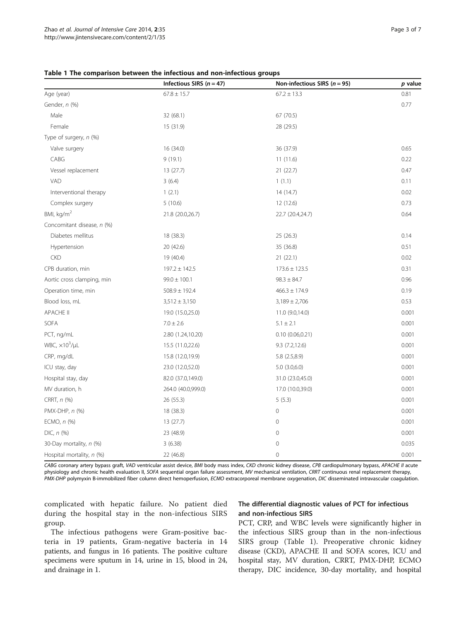|                              | Infectious SIRS $(n = 47)$ | Non-infectious SIRS ( $n = 95$ ) | p value |
|------------------------------|----------------------------|----------------------------------|---------|
| Age (year)                   | $67.8 \pm 15.7$            | $67.2 \pm 13.3$                  | 0.81    |
| Gender, n (%)                |                            |                                  | 0.77    |
| Male                         | 32 (68.1)                  | 67 (70.5)                        |         |
| Female                       | 15 (31.9)                  | 28 (29.5)                        |         |
| Type of surgery, n (%)       |                            |                                  |         |
| Valve surgery                | 16 (34.0)                  | 36 (37.9)                        | 0.65    |
| CABG                         | 9(19.1)                    | 11(11.6)                         | 0.22    |
| Vessel replacement           | 13(27.7)                   | 21(22.7)                         | 0.47    |
| VAD                          | 3(6.4)                     | 1(1.1)                           | 0.11    |
| Interventional therapy       | 1(2.1)                     | 14 (14.7)                        | 0.02    |
| Complex surgery              | 5(10.6)                    | 12(12.6)                         | 0.73    |
| BMI, kg/m <sup>2</sup>       | 21.8 (20.0,26.7)           | 22.7 (20.4,24.7)                 | 0.64    |
| Concomitant disease, n (%)   |                            |                                  |         |
| Diabetes mellitus            | 18 (38.3)                  | 25(26.3)                         | 0.14    |
| Hypertension                 | 20(42.6)                   | 35 (36.8)                        | 0.51    |
| <b>CKD</b>                   | 19 (40.4)                  | 21(22.1)                         | 0.02    |
| CPB duration, min            | $197.2 \pm 142.5$          | $173.6 \pm 123.5$                | 0.31    |
| Aortic cross clamping, min   | $99.0 \pm 100.1$           | $98.3 \pm 84.7$                  | 0.96    |
| Operation time, min          | $508.9 \pm 192.4$          | $466.3 \pm 174.9$                | 0.19    |
| Blood loss, mL               | $3,512 \pm 3,150$          | $3,189 \pm 2,706$                | 0.53    |
| <b>APACHE II</b>             | 19.0 (15.0,25.0)           | 11.0 (9.0,14.0)                  | 0.001   |
| <b>SOFA</b>                  | $7.0 \pm 2.6$              | $5.1 \pm 2.1$                    | 0.001   |
| PCT, ng/mL                   | 2.80 (1.24,10.20)          | 0.10(0.06, 0.21)                 | 0.001   |
| WBC, $\times 10^3$ / $\mu$ L | 15.5 (11.0,22.6)           | 9.3(7.2, 12.6)                   | 0.001   |
| CRP, mg/dL                   | 15.8 (12.0,19.9)           | 5.8 (2.5,8.9)                    | 0.001   |
| ICU stay, day                | 23.0 (12.0,52.0)           | 5.0(3.0,6.0)                     | 0.001   |
| Hospital stay, day           | 82.0 (37.0,149.0)          | 31.0 (23.0,45.0)                 | 0.001   |
| MV duration, h               | 264.0 (40.0,999.0)         | 17.0 (10.0,39.0)                 | 0.001   |
| CRRT, $n$ $%$                | 26 (55.3)                  | 5(5.3)                           | 0.001   |
| PMX-DHP, n (%)               | 18 (38.3)                  | $\mathsf{O}$                     | 0.001   |
| ECMO, n (%)                  | 13(27.7)                   | $\mathbf 0$                      | 0.001   |
| $DIC, n$ (%)                 | 23 (48.9)                  | $\mathbf 0$                      | 0.001   |
| 30-Day mortality, n (%)      | 3(6.38)                    | $\mathsf{O}$                     | 0.035   |
| Hospital mortality, n (%)    | 22 (46.8)                  | $\mathbf 0$                      | 0.001   |

<span id="page-2-0"></span>

| Table 1 The comparison between the infectious and non-infectious groups |  |  |  |  |  |
|-------------------------------------------------------------------------|--|--|--|--|--|
|-------------------------------------------------------------------------|--|--|--|--|--|

CABG coronary artery bypass graft, VAD ventricular assist device, BMI body mass index, CKD chronic kidney disease, CPB cardiopulmonary bypass, APACHE II acute physiology and chronic health evaluation II, SOFA sequential organ failure assessment, MV mechanical ventilation, CRRT continuous renal replacement therapy, PMX-DHP polymyxin B-immobilized fiber column direct hemoperfusion, ECMO extracorporeal membrane oxygenation, DIC disseminated intravascular coagulation.

complicated with hepatic failure. No patient died during the hospital stay in the non-infectious SIRS group.

## The differential diagnostic values of PCT for infectious and non-infectious SIRS

The infectious pathogens were Gram-positive bacteria in 19 patients, Gram-negative bacteria in 14 patients, and fungus in 16 patients. The positive culture specimens were sputum in 14, urine in 15, blood in 24, and drainage in 1.

PCT, CRP, and WBC levels were significantly higher in the infectious SIRS group than in the non-infectious SIRS group (Table 1). Preoperative chronic kidney disease (CKD), APACHE II and SOFA scores, ICU and hospital stay, MV duration, CRRT, PMX-DHP, ECMO therapy, DIC incidence, 30-day mortality, and hospital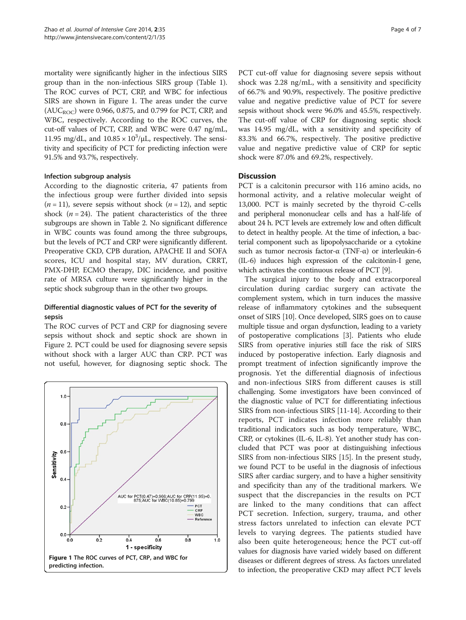mortality were significantly higher in the infectious SIRS group than in the non-infectious SIRS group (Table [1](#page-2-0)). The ROC curves of PCT, CRP, and WBC for infectious SIRS are shown in Figure 1. The areas under the curve  $(AUC_{ROC}$ ) were 0.966, 0.875, and 0.799 for PCT, CRP, and WBC, respectively. According to the ROC curves, the cut-off values of PCT, CRP, and WBC were 0.47 ng/mL, 11.95 mg/dL, and  $10.85 \times 10^3/\mu$ L, respectively. The sensitivity and specificity of PCT for predicting infection were 91.5% and 93.7%, respectively.

#### Infection subgroup analysis

According to the diagnostic criteria, 47 patients from the infectious group were further divided into sepsis  $(n = 11)$ , severe sepsis without shock  $(n = 12)$ , and septic shock  $(n = 24)$ . The patient characteristics of the three subgroups are shown in Table [2](#page-4-0). No significant difference in WBC counts was found among the three subgroups, but the levels of PCT and CRP were significantly different. Preoperative CKD, CPB duration, APACHE II and SOFA scores, ICU and hospital stay, MV duration, CRRT, PMX-DHP, ECMO therapy, DIC incidence, and positive rate of MRSA culture were significantly higher in the septic shock subgroup than in the other two groups.

## Differential diagnostic values of PCT for the severity of sepsis

The ROC curves of PCT and CRP for diagnosing severe sepsis without shock and septic shock are shown in Figure [2](#page-5-0). PCT could be used for diagnosing severe sepsis without shock with a larger AUC than CRP. PCT was not useful, however, for diagnosing septic shock. The



PCT cut-off value for diagnosing severe sepsis without shock was 2.28 ng/mL, with a sensitivity and specificity of 66.7% and 90.9%, respectively. The positive predictive value and negative predictive value of PCT for severe sepsis without shock were 96.0% and 45.5%, respectively. The cut-off value of CRP for diagnosing septic shock was 14.95 mg/dL, with a sensitivity and specificity of 83.3% and 66.7%, respectively. The positive predictive value and negative predictive value of CRP for septic shock were 87.0% and 69.2%, respectively.

## Discussion

PCT is a calcitonin precursor with 116 amino acids, no hormonal activity, and a relative molecular weight of 13,000. PCT is mainly secreted by the thyroid C-cells and peripheral mononuclear cells and has a half-life of about 24 h. PCT levels are extremely low and often difficult to detect in healthy people. At the time of infection, a bacterial component such as lipopolysaccharide or a cytokine such as tumor necrosis factor-α (TNF-α) or interleukin-6 (IL-6) induces high expression of the calcitonin-I gene, which activates the continuous release of PCT [\[9](#page-6-0)].

The surgical injury to the body and extracorporeal circulation during cardiac surgery can activate the complement system, which in turn induces the massive release of inflammatory cytokines and the subsequent onset of SIRS [\[10\]](#page-6-0). Once developed, SIRS goes on to cause multiple tissue and organ dysfunction, leading to a variety of postoperative complications [[3](#page-6-0)]. Patients who elude SIRS from operative injuries still face the risk of SIRS induced by postoperative infection. Early diagnosis and prompt treatment of infection significantly improve the prognosis. Yet the differential diagnosis of infectious and non-infectious SIRS from different causes is still challenging. Some investigators have been convinced of the diagnostic value of PCT for differentiating infectious SIRS from non-infectious SIRS [\[11-14\]](#page-6-0). According to their reports, PCT indicates infection more reliably than traditional indicators such as body temperature, WBC, CRP, or cytokines (IL-6, IL-8). Yet another study has concluded that PCT was poor at distinguishing infectious SIRS from non-infectious SIRS [\[15](#page-6-0)]. In the present study, we found PCT to be useful in the diagnosis of infectious SIRS after cardiac surgery, and to have a higher sensitivity and specificity than any of the traditional markers. We suspect that the discrepancies in the results on PCT are linked to the many conditions that can affect PCT secretion. Infection, surgery, trauma, and other stress factors unrelated to infection can elevate PCT levels to varying degrees. The patients studied have also been quite heterogeneous; hence the PCT cut-off values for diagnosis have varied widely based on different diseases or different degrees of stress. As factors unrelated to infection, the preoperative CKD may affect PCT levels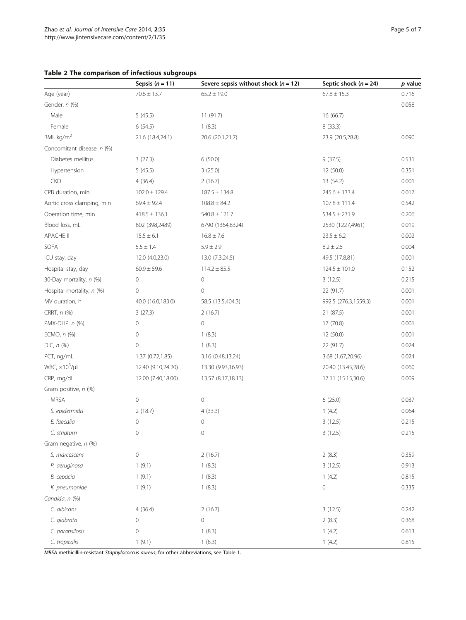#### <span id="page-4-0"></span>Table 2 The comparison of infectious subgroups

|                              | Sepsis $(n = 11)$  | Severe sepsis without shock $(n = 12)$ | Septic shock $(n = 24)$ | p value |
|------------------------------|--------------------|----------------------------------------|-------------------------|---------|
| Age (year)                   | $70.6 \pm 13.7$    | $65.2 \pm 19.0$                        | $67.8 \pm 15.3$         | 0.716   |
| Gender, n (%)                |                    |                                        |                         | 0.058   |
| Male                         | 5(45.5)            | 11(91.7)                               | 16 (66.7)               |         |
| Female                       | 6(54.5)            | 1(8.3)                                 | 8(33.3)                 |         |
| BMI, kg/m <sup>2</sup>       | 21.6 (18.4,24.1)   | 20.6 (20.1,21.7)                       | 23.9 (20.5,28.8)        | 0.090   |
| Concomitant disease, n (%)   |                    |                                        |                         |         |
| Diabetes mellitus            | 3(27.3)            | 6(50.0)                                | 9(37.5)                 | 0.531   |
| Hypertension                 | 5(45.5)            | 3(25.0)                                | 12 (50.0)               | 0.351   |
| <b>CKD</b>                   | 4(36.4)            | 2(16.7)                                | 13 (54.2)               | 0.001   |
| CPB duration, min            | $102.0 \pm 129.4$  | $187.5 \pm 134.8$                      | $245.6 \pm 133.4$       | 0.017   |
| Aortic cross clamping, min   | $69.4 \pm 92.4$    | $108.8 \pm 84.2$                       | $107.8 \pm 111.4$       | 0.542   |
| Operation time, min          | $418.5 \pm 136.1$  | $540.8 \pm 121.7$                      | $534.5 \pm 231.9$       | 0.206   |
| Blood loss, mL               | 802 (398,2489)     | 6790 (1364,8324)                       | 2530 (1227,4961)        | 0.019   |
| APACHE II                    | $15.5 \pm 6.1$     | $16.8 \pm 7.6$                         | $23.5 \pm 6.2$          | 0.002   |
| SOFA                         | $5.5 \pm 1.4$      | $5.9 \pm 2.9$                          | $8.2 \pm 2.5$           | 0.004   |
| ICU stay, day                | 12.0 (4.0,23.0)    | 13.0 (7.3,24.5)                        | 49.5 (17.8,81)          | 0.001   |
| Hospital stay, day           | $60.9 \pm 59.6$    | $114.2 \pm 85.5$                       | $124.5 \pm 101.0$       | 0.152   |
| 30-Day mortality, n (%)      | 0                  | 0                                      | 3(12.5)                 | 0.215   |
| Hospital mortality, n (%)    | 0                  | $\mathbf 0$                            | 22 (91.7)               | 0.001   |
| MV duration, h               | 40.0 (16.0,183.0)  | 58.5 (13.5,404.3)                      | 992.5 (276.3,1559.3)    | 0.001   |
| CRRT, n (%)                  | 3(27.3)            | 2(16.7)                                | 21 (87.5)               | 0.001   |
| PMX-DHP, n (%)               | 0                  | $\overline{0}$                         | 17 (70.8)               | 0.001   |
| ECMO, n (%)                  | 0                  | 1(8.3)                                 | 12 (50.0)               | 0.001   |
| $DIC, n$ (%)                 | 0                  | 1(8.3)                                 | 22 (91.7)               | 0.024   |
| PCT, ng/mL                   | 1.37 (0.72,1.85)   | 3.16 (0.48,13.24)                      | 3.68 (1.67,20.96)       | 0.024   |
| WBC, $\times 10^3$ / $\mu$ L | 12.40 (9.10,24.20) | 13.30 (9.93,16.93)                     | 20.40 (13.45,28.6)      | 0.060   |
| CRP, mg/dL                   | 12.00 (7.40,18.00) | 13.57 (8.17,18.13)                     | 17.11 (15.15,30.6)      | 0.009   |
| Gram positive, n (%)         |                    |                                        |                         |         |
| <b>MRSA</b>                  | $\mathbf 0$        | 0                                      | 6(25.0)                 | 0.037   |
| S. epidermidis               | 2(18.7)            | 4(33.3)                                | 1(4.2)                  | 0.064   |
| E. faecalia                  | $\mathbf 0$        | $\mathbf 0$                            | 3(12.5)                 | 0.215   |
| C. striatum                  | $\mathbf 0$        | $\mathbf 0$                            | 3(12.5)                 | 0.215   |
| Gram negative, n (%)         |                    |                                        |                         |         |
| S. marcescens                | $\mathbf 0$        | 2(16.7)                                | 2(8.3)                  | 0.359   |
| P. aeruginosa                | 1(9.1)             | 1(8.3)                                 | 3(12.5)                 | 0.913   |
| В. серасіа                   | 1(9.1)             | 1(8.3)                                 | 1(4.2)                  | 0.815   |
| K. pneumoniae                | 1(9.1)             | 1(8.3)                                 | $\mathbf 0$             | 0.335   |
| Candida, n (%)               |                    |                                        |                         |         |
| C. albicans                  | 4(36.4)            | 2(16.7)                                | 3(12.5)                 | 0.242   |
| C. glabrata                  | 0                  | $\mathbf 0$                            | 2(8.3)                  | 0.368   |
| C. parapsilosis              | 0                  | 1(8.3)                                 | 1(4.2)                  | 0.613   |
| C. tropicalis                | 1(9.1)             | 1(8.3)                                 | 1(4.2)                  | 0.815   |

MRSA methicillin-resistant Staphylococcus aureus; for other abbreviations, see Table [1.](#page-2-0)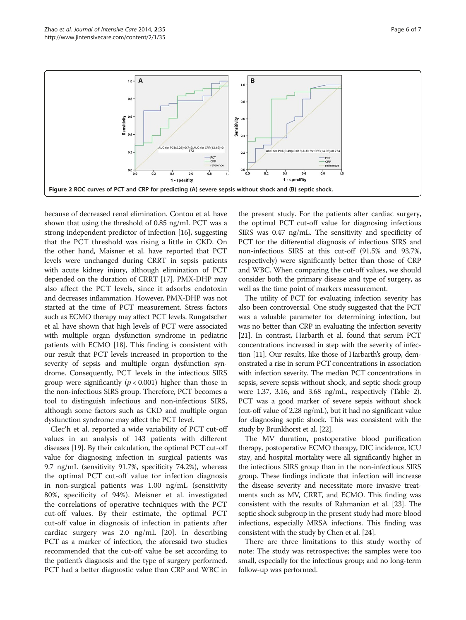<span id="page-5-0"></span>

because of decreased renal elimination. Contou et al. have shown that using the threshold of 0.85 ng/mL PCT was a strong independent predictor of infection [[16](#page-6-0)], suggesting that the PCT threshold was rising a little in CKD. On the other hand, Maisner et al. have reported that PCT levels were unchanged during CRRT in sepsis patients with acute kidney injury, although elimination of PCT depended on the duration of CRRT [\[17\]](#page-6-0). PMX-DHP may also affect the PCT levels, since it adsorbs endotoxin and decreases inflammation. However, PMX-DHP was not started at the time of PCT measurement. Stress factors such as ECMO therapy may affect PCT levels. Rungatscher et al. have shown that high levels of PCT were associated with multiple organ dysfunction syndrome in pediatric patients with ECMO [\[18\]](#page-6-0). This finding is consistent with our result that PCT levels increased in proportion to the severity of sepsis and multiple organ dysfunction syndrome. Consequently, PCT levels in the infectious SIRS group were significantly ( $p < 0.001$ ) higher than those in the non-infectious SIRS group. Therefore, PCT becomes a tool to distinguish infectious and non-infectious SIRS, although some factors such as CKD and multiple organ dysfunction syndrome may affect the PCT level.

Clec'h et al. reported a wide variability of PCT cut-off values in an analysis of 143 patients with different diseases [\[19\]](#page-6-0). By their calculation, the optimal PCT cut-off value for diagnosing infection in surgical patients was 9.7 ng/mL (sensitivity 91.7%, specificity 74.2%), whereas the optimal PCT cut-off value for infection diagnosis in non-surgical patients was 1.00 ng/mL (sensitivity 80%, specificity of 94%). Meisner et al. investigated the correlations of operative techniques with the PCT cut-off values. By their estimate, the optimal PCT cut-off value in diagnosis of infection in patients after cardiac surgery was 2.0 ng/mL [[20\]](#page-6-0). In describing PCT as a marker of infection, the aforesaid two studies recommended that the cut-off value be set according to the patient's diagnosis and the type of surgery performed. PCT had a better diagnostic value than CRP and WBC in

the present study. For the patients after cardiac surgery, the optimal PCT cut-off value for diagnosing infectious SIRS was 0.47 ng/mL. The sensitivity and specificity of PCT for the differential diagnosis of infectious SIRS and non-infectious SIRS at this cut-off (91.5% and 93.7%, respectively) were significantly better than those of CRP and WBC. When comparing the cut-off values, we should consider both the primary disease and type of surgery, as well as the time point of markers measurement.

The utility of PCT for evaluating infection severity has also been controversial. One study suggested that the PCT was a valuable parameter for determining infection, but was no better than CRP in evaluating the infection severity [[21](#page-6-0)]. In contrast, Harbarth et al. found that serum PCT concentrations increased in step with the severity of infection [\[11\]](#page-6-0). Our results, like those of Harbarth's group, demonstrated a rise in serum PCT concentrations in association with infection severity. The median PCT concentrations in sepsis, severe sepsis without shock, and septic shock group were 1.37, 3.16, and 3.68 ng/mL, respectively (Table [2](#page-4-0)). PCT was a good marker of severe sepsis without shock (cut-off value of 2.28 ng/mL), but it had no significant value for diagnosing septic shock. This was consistent with the study by Brunkhorst et al. [\[22](#page-6-0)].

The MV duration, postoperative blood purification therapy, postoperative ECMO therapy, DIC incidence, ICU stay, and hospital mortality were all significantly higher in the infectious SIRS group than in the non-infectious SIRS group. These findings indicate that infection will increase the disease severity and necessitate more invasive treatments such as MV, CRRT, and ECMO. This finding was consistent with the results of Rahmanian et al. [\[23\]](#page-6-0). The septic shock subgroup in the present study had more blood infections, especially MRSA infections. This finding was consistent with the study by Chen et al. [[24](#page-6-0)].

There are three limitations to this study worthy of note: The study was retrospective; the samples were too small, especially for the infectious group; and no long-term follow-up was performed.